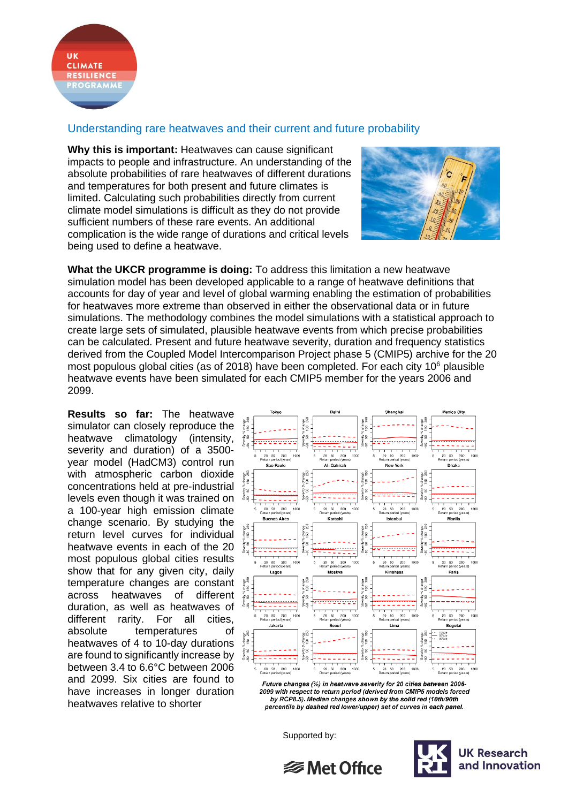

## Understanding rare heatwaves and their current and future probability

**Why this is important:** Heatwaves can cause significant impacts to people and infrastructure. An understanding of the absolute probabilities of rare heatwaves of different durations and temperatures for both present and future climates is limited. Calculating such probabilities directly from current climate model simulations is difficult as they do not provide sufficient numbers of these rare events. An additional complication is the wide range of durations and critical levels being used to define a heatwave.



**What the UKCR programme is doing:** To address this limitation a new heatwave simulation model has been developed applicable to a range of heatwave definitions that accounts for day of year and level of global warming enabling the estimation of probabilities for heatwaves more extreme than observed in either the observational data or in future simulations. The methodology combines the model simulations with a statistical approach to create large sets of simulated, plausible heatwave events from which precise probabilities can be calculated. Present and future heatwave severity, duration and frequency statistics derived from the Coupled Model Intercomparison Project phase 5 (CMIP5) archive for the 20 most populous global cities (as of 2018) have been completed. For each city 10<sup>6</sup> plausible heatwave events have been simulated for each CMIP5 member for the years 2006 and 2099.

**Results so far:** The heatwave simulator can closely reproduce the heatwave climatology (intensity, severity and duration) of a 3500 year model (HadCM3) control run with atmospheric carbon dioxide concentrations held at pre-industrial levels even though it was trained on a 100-year high emission climate change scenario. By studying the return level curves for individual heatwave events in each of the 20 most populous global cities results show that for any given city, daily temperature changes are constant across heatwaves of different duration, as well as heatwaves of different rarity. For all cities, absolute temperatures of heatwaves of 4 to 10-day durations are found to significantly increase by between 3.4 to 6.6°C between 2006 and 2099. Six cities are found to have increases in longer duration heatwaves relative to shorter



Future changes (%) in heatwave severity for 20 cities between 2006-2099 with respect to return period (derived from CMIP5 models forced by RCP8.5). Median changes shown by the solid red (10th/90th percentile by dashed red lower/upper) set of curves in each panel.

Supported by:



**<del>
</del>** Met Office